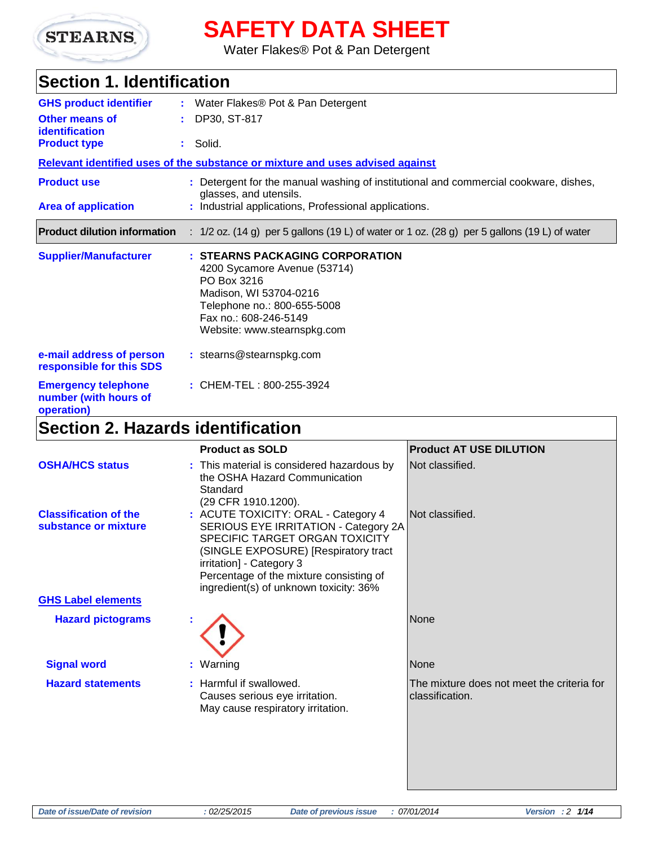

# **SAFETY DATA SHEET**

Water Flakes® Pot & Pan Detergent

## **Section 1. Identification**

| <b>GHS product identifier</b>                                     | : Water Flakes <sup>®</sup> Pot & Pan Detergent                                                                                                                                                 |
|-------------------------------------------------------------------|-------------------------------------------------------------------------------------------------------------------------------------------------------------------------------------------------|
| Other means of<br><b>identification</b>                           | : DP30, ST-817                                                                                                                                                                                  |
| <b>Product type</b>                                               | $:$ Solid.                                                                                                                                                                                      |
|                                                                   | Relevant identified uses of the substance or mixture and uses advised against                                                                                                                   |
| <b>Product use</b>                                                | : Detergent for the manual washing of institutional and commercial cookware, dishes,<br>glasses, and utensils.                                                                                  |
| <b>Area of application</b>                                        | : Industrial applications, Professional applications.                                                                                                                                           |
| <b>Product dilution information</b>                               | : $1/2$ oz. (14 g) per 5 gallons (19 L) of water or 1 oz. (28 g) per 5 gallons (19 L) of water                                                                                                  |
| <b>Supplier/Manufacturer</b>                                      | : STEARNS PACKAGING CORPORATION<br>4200 Sycamore Avenue (53714)<br>PO Box 3216<br>Madison, WI 53704-0216<br>Telephone no.: 800-655-5008<br>Fax no.: 608-246-5149<br>Website: www.stearnspkg.com |
| e-mail address of person<br>responsible for this SDS              | $:$ stearns@stearnspkg.com                                                                                                                                                                      |
| <b>Emergency telephone</b><br>number (with hours of<br>operation) | : CHEM-TEL: 800-255-3924                                                                                                                                                                        |

### **Section 2. Hazards identification**

| <b>Product as SOLD</b>                                                                                                                                                                | <b>Product AT USE DILUTION</b>                                                                                                                                      |
|---------------------------------------------------------------------------------------------------------------------------------------------------------------------------------------|---------------------------------------------------------------------------------------------------------------------------------------------------------------------|
| the OSHA Hazard Communication<br>Standard<br>(29 CFR 1910.1200).                                                                                                                      | Not classified.                                                                                                                                                     |
| SERIOUS EYE IRRITATION - Category 2A<br>SPECIFIC TARGET ORGAN TOXICITY<br>(SINGLE EXPOSURE) [Respiratory tract<br>irritation] - Category 3<br>Percentage of the mixture consisting of | Not classified.                                                                                                                                                     |
|                                                                                                                                                                                       |                                                                                                                                                                     |
|                                                                                                                                                                                       | <b>None</b>                                                                                                                                                         |
|                                                                                                                                                                                       | None                                                                                                                                                                |
| Causes serious eye irritation.<br>May cause respiratory irritation.                                                                                                                   | The mixture does not meet the criteria for<br>classification.                                                                                                       |
|                                                                                                                                                                                       | : This material is considered hazardous by<br>: ACUTE TOXICITY: ORAL - Category 4<br>ingredient(s) of unknown toxicity: 36%<br>: Warning<br>: Harmful if swallowed. |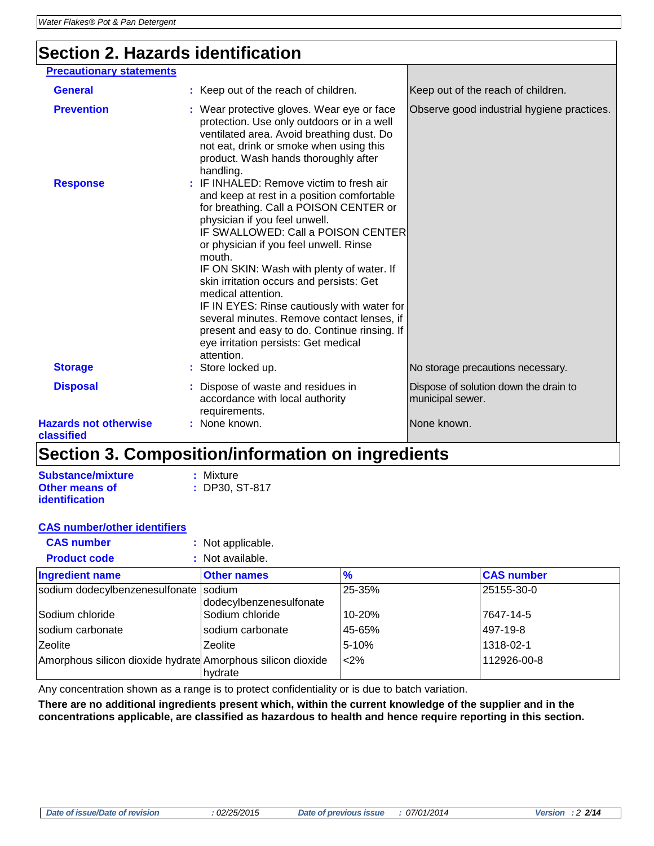### **Section 2. Hazards identification**

| <b>Precautionary statements</b>            |                                                                                                                                                                                                                                                                                                                                                                                                                                                                                                                                                                               |                                                           |
|--------------------------------------------|-------------------------------------------------------------------------------------------------------------------------------------------------------------------------------------------------------------------------------------------------------------------------------------------------------------------------------------------------------------------------------------------------------------------------------------------------------------------------------------------------------------------------------------------------------------------------------|-----------------------------------------------------------|
| <b>General</b>                             | : Keep out of the reach of children.                                                                                                                                                                                                                                                                                                                                                                                                                                                                                                                                          | Keep out of the reach of children.                        |
|                                            |                                                                                                                                                                                                                                                                                                                                                                                                                                                                                                                                                                               |                                                           |
| <b>Prevention</b>                          | : Wear protective gloves. Wear eye or face<br>protection. Use only outdoors or in a well<br>ventilated area. Avoid breathing dust. Do<br>not eat, drink or smoke when using this<br>product. Wash hands thoroughly after<br>handling.                                                                                                                                                                                                                                                                                                                                         | Observe good industrial hygiene practices.                |
| <b>Response</b>                            | : IF INHALED: Remove victim to fresh air<br>and keep at rest in a position comfortable<br>for breathing. Call a POISON CENTER or<br>physician if you feel unwell.<br>IF SWALLOWED: Call a POISON CENTER<br>or physician if you feel unwell. Rinse<br>mouth.<br>IF ON SKIN: Wash with plenty of water. If<br>skin irritation occurs and persists: Get<br>medical attention.<br>IF IN EYES: Rinse cautiously with water for<br>several minutes. Remove contact lenses, if<br>present and easy to do. Continue rinsing. If<br>eye irritation persists: Get medical<br>attention. |                                                           |
| <b>Storage</b>                             | : Store locked up.                                                                                                                                                                                                                                                                                                                                                                                                                                                                                                                                                            | No storage precautions necessary.                         |
| <b>Disposal</b>                            | Dispose of waste and residues in<br>accordance with local authority<br>requirements.                                                                                                                                                                                                                                                                                                                                                                                                                                                                                          | Dispose of solution down the drain to<br>municipal sewer. |
| <b>Hazards not otherwise</b><br>classified | : None known.                                                                                                                                                                                                                                                                                                                                                                                                                                                                                                                                                                 | None known.                                               |

### **Section 3. Composition/information on ingredients**

| <b>Substance/mixture</b> | : Mixture        |
|--------------------------|------------------|
| <b>Other means of</b>    | $:$ DP30, ST-817 |
| <b>identification</b>    |                  |

### **CAS number/other identifiers**

| <b>CAS number</b>                                           | : Not applicable.                 |               |                   |
|-------------------------------------------------------------|-----------------------------------|---------------|-------------------|
| <b>Product code</b>                                         | : Not available.                  |               |                   |
| <b>Ingredient name</b>                                      | <b>Other names</b>                | $\frac{9}{6}$ | <b>CAS number</b> |
| sodium dodecylbenzenesulfonate                              | sodium<br>dodecylbenzenesulfonate | 25-35%        | 25155-30-0        |
| l Sodium chloride                                           | Sodium chloride                   | 10-20%        | 7647-14-5         |
| Isodium carbonate                                           | sodium carbonate                  | 45-65%        | 497-19-8          |
| <b>Zeolite</b>                                              | Zeolite                           | $5 - 10%$     | 1318-02-1         |
| Amorphous silicon dioxide hydrate Amorphous silicon dioxide | hydrate                           | $2\%$         | 112926-00-8       |

Any concentration shown as a range is to protect confidentiality or is due to batch variation.

**There are no additional ingredients present which, within the current knowledge of the supplier and in the concentrations applicable, are classified as hazardous to health and hence require reporting in this section.**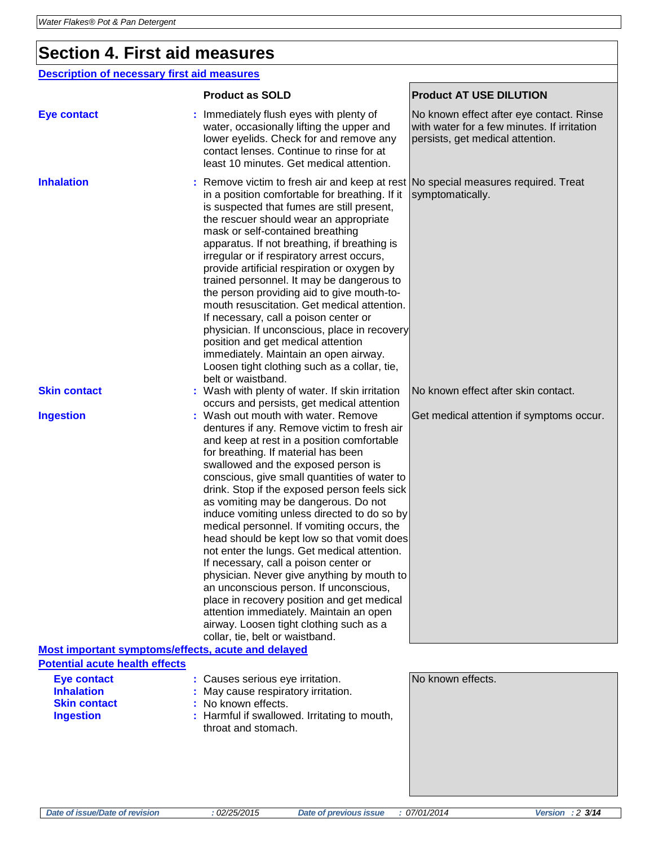### **Section 4. First aid measures**

#### **Description of necessary first aid measures**

|                                                                                    | <b>Product as SOLD</b>                                                                                                                                                                                                                                                                                                                                                                                                                                                                                                                                                                                                                                                                                                                                                                                                                                   | <b>Product AT USE DILUTION</b>                                                                                              |
|------------------------------------------------------------------------------------|----------------------------------------------------------------------------------------------------------------------------------------------------------------------------------------------------------------------------------------------------------------------------------------------------------------------------------------------------------------------------------------------------------------------------------------------------------------------------------------------------------------------------------------------------------------------------------------------------------------------------------------------------------------------------------------------------------------------------------------------------------------------------------------------------------------------------------------------------------|-----------------------------------------------------------------------------------------------------------------------------|
| <b>Eye contact</b>                                                                 | Immediately flush eyes with plenty of<br>water, occasionally lifting the upper and<br>lower eyelids. Check for and remove any<br>contact lenses. Continue to rinse for at<br>least 10 minutes. Get medical attention.                                                                                                                                                                                                                                                                                                                                                                                                                                                                                                                                                                                                                                    | No known effect after eye contact. Rinse<br>with water for a few minutes. If irritation<br>persists, get medical attention. |
| <b>Inhalation</b>                                                                  | Remove victim to fresh air and keep at rest No special measures required. Treat<br>in a position comfortable for breathing. If it<br>is suspected that fumes are still present,<br>the rescuer should wear an appropriate<br>mask or self-contained breathing<br>apparatus. If not breathing, if breathing is<br>irregular or if respiratory arrest occurs,<br>provide artificial respiration or oxygen by<br>trained personnel. It may be dangerous to<br>the person providing aid to give mouth-to-<br>mouth resuscitation. Get medical attention.<br>If necessary, call a poison center or<br>physician. If unconscious, place in recovery<br>position and get medical attention<br>immediately. Maintain an open airway.<br>Loosen tight clothing such as a collar, tie,<br>belt or waistband.                                                       | symptomatically.                                                                                                            |
| <b>Skin contact</b>                                                                | : Wash with plenty of water. If skin irritation<br>occurs and persists, get medical attention                                                                                                                                                                                                                                                                                                                                                                                                                                                                                                                                                                                                                                                                                                                                                            | No known effect after skin contact.                                                                                         |
| <b>Ingestion</b><br>Most important symptoms/effects, acute and delayed             | : Wash out mouth with water. Remove<br>dentures if any. Remove victim to fresh air<br>and keep at rest in a position comfortable<br>for breathing. If material has been<br>swallowed and the exposed person is<br>conscious, give small quantities of water to<br>drink. Stop if the exposed person feels sick<br>as vomiting may be dangerous. Do not<br>induce vomiting unless directed to do so by<br>medical personnel. If vomiting occurs, the<br>head should be kept low so that vomit does<br>not enter the lungs. Get medical attention.<br>If necessary, call a poison center or<br>physician. Never give anything by mouth to<br>an unconscious person. If unconscious,<br>place in recovery position and get medical<br>attention immediately. Maintain an open<br>airway. Loosen tight clothing such as a<br>collar, tie, belt or waistband. | Get medical attention if symptoms occur.                                                                                    |
| <b>Potential acute health effects</b>                                              |                                                                                                                                                                                                                                                                                                                                                                                                                                                                                                                                                                                                                                                                                                                                                                                                                                                          |                                                                                                                             |
| <b>Eye contact</b><br><b>Inhalation</b><br><b>Skin contact</b><br><b>Ingestion</b> | : Causes serious eye irritation.<br>May cause respiratory irritation.<br>No known effects.<br>: Harmful if swallowed. Irritating to mouth,<br>throat and stomach.                                                                                                                                                                                                                                                                                                                                                                                                                                                                                                                                                                                                                                                                                        | No known effects.                                                                                                           |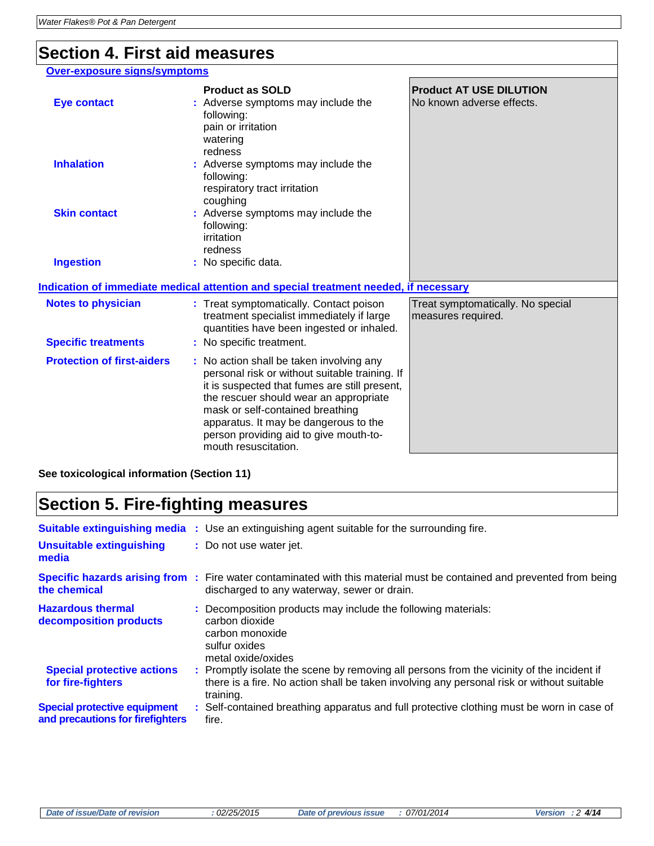### **Section 4. First aid measures**

#### **Over-exposure signs/symptoms**

| <b>Eye contact</b>                         | <b>Product as SOLD</b><br>: Adverse symptoms may include the<br>following:<br>pain or irritation<br>watering                                                                                                                                                                                                                         | <b>Product AT USE DILUTION</b><br>No known adverse effects. |
|--------------------------------------------|--------------------------------------------------------------------------------------------------------------------------------------------------------------------------------------------------------------------------------------------------------------------------------------------------------------------------------------|-------------------------------------------------------------|
| <b>Inhalation</b>                          | redness<br>: Adverse symptoms may include the<br>following:<br>respiratory tract irritation<br>coughing                                                                                                                                                                                                                              |                                                             |
| <b>Skin contact</b>                        | : Adverse symptoms may include the<br>following:<br>irritation<br>redness                                                                                                                                                                                                                                                            |                                                             |
| <b>Ingestion</b>                           | : No specific data.                                                                                                                                                                                                                                                                                                                  |                                                             |
|                                            | Indication of immediate medical attention and special treatment needed, if necessary                                                                                                                                                                                                                                                 |                                                             |
| <b>Notes to physician</b>                  | : Treat symptomatically. Contact poison<br>treatment specialist immediately if large<br>quantities have been ingested or inhaled.                                                                                                                                                                                                    | Treat symptomatically. No special<br>measures required.     |
| <b>Specific treatments</b>                 | : No specific treatment.                                                                                                                                                                                                                                                                                                             |                                                             |
| <b>Protection of first-aiders</b>          | : No action shall be taken involving any<br>personal risk or without suitable training. If<br>it is suspected that fumes are still present,<br>the rescuer should wear an appropriate<br>mask or self-contained breathing<br>apparatus. It may be dangerous to the<br>person providing aid to give mouth-to-<br>mouth resuscitation. |                                                             |
| See toxicological information (Section 11) |                                                                                                                                                                                                                                                                                                                                      |                                                             |

# **Section 5. Fire-fighting measures**

| Unsuitable extinguishing<br>media                                       | <b>Suitable extinguishing media</b> : Use an extinguishing agent suitable for the surrounding fire.<br>: Do not use water jet.                                                                      |
|-------------------------------------------------------------------------|-----------------------------------------------------------------------------------------------------------------------------------------------------------------------------------------------------|
| the chemical                                                            | <b>Specific hazards arising from</b> : Fire water contaminated with this material must be contained and prevented from being<br>discharged to any waterway, sewer or drain.                         |
| <b>Hazardous thermal</b><br>decomposition products                      | : Decomposition products may include the following materials:<br>carbon dioxide<br>carbon monoxide<br>sulfur oxides<br>metal oxide/oxides                                                           |
| <b>Special protective actions</b><br>for fire-fighters                  | : Promptly isolate the scene by removing all persons from the vicinity of the incident if<br>there is a fire. No action shall be taken involving any personal risk or without suitable<br>training. |
| <b>Special protective equipment</b><br>and precautions for firefighters | : Self-contained breathing apparatus and full protective clothing must be worn in case of<br>fire.                                                                                                  |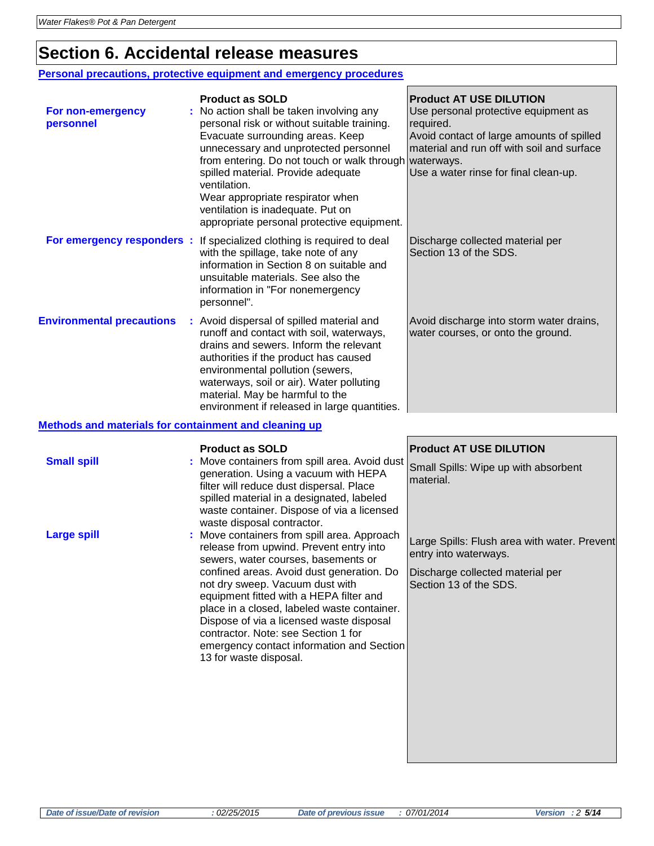### **Section 6. Accidental release measures**

#### **Personal precautions, protective equipment and emergency procedures**

| For non-emergency<br>personnel                        | <b>Product as SOLD</b><br>No action shall be taken involving any<br>personal risk or without suitable training.<br>Evacuate surrounding areas. Keep<br>unnecessary and unprotected personnel<br>from entering. Do not touch or walk through waterways.<br>spilled material. Provide adequate<br>ventilation.<br>Wear appropriate respirator when<br>ventilation is inadequate. Put on<br>appropriate personal protective equipment. | <b>Product AT USE DILUTION</b><br>Use personal protective equipment as<br>required.<br>Avoid contact of large amounts of spilled<br>material and run off with soil and surface<br>Use a water rinse for final clean-up. |  |
|-------------------------------------------------------|-------------------------------------------------------------------------------------------------------------------------------------------------------------------------------------------------------------------------------------------------------------------------------------------------------------------------------------------------------------------------------------------------------------------------------------|-------------------------------------------------------------------------------------------------------------------------------------------------------------------------------------------------------------------------|--|
| For emergency responders :                            | If specialized clothing is required to deal<br>with the spillage, take note of any<br>information in Section 8 on suitable and<br>unsuitable materials. See also the<br>information in "For nonemergency<br>personnel".                                                                                                                                                                                                             | Discharge collected material per<br>Section 13 of the SDS.                                                                                                                                                              |  |
| <b>Environmental precautions</b>                      | : Avoid dispersal of spilled material and<br>runoff and contact with soil, waterways,<br>drains and sewers. Inform the relevant<br>authorities if the product has caused<br>environmental pollution (sewers,<br>waterways, soil or air). Water polluting<br>material. May be harmful to the<br>environment if released in large quantities.                                                                                         | Avoid discharge into storm water drains,<br>water courses, or onto the ground.                                                                                                                                          |  |
| Methods and materials for containment and cleaning up |                                                                                                                                                                                                                                                                                                                                                                                                                                     |                                                                                                                                                                                                                         |  |
| <b>Small spill</b>                                    | <b>Product as SOLD</b><br>Move containers from spill area. Avoid dust<br>generation. Using a vacuum with HEPA<br>filter will reduce dust dispersal. Place<br>spilled material in a designated, labeled                                                                                                                                                                                                                              | <b>Product AT USE DILUTION</b><br>Small Spills: Wipe up with absorbent<br>material.                                                                                                                                     |  |

waste container. Dispose of via a licensed

release from upwind. Prevent entry into sewers, water courses, basements or confined areas. Avoid dust generation. Do

emergency contact information and Section

not dry sweep. Vacuum dust with equipment fitted with a HEPA filter and place in a closed, labeled waste container. Dispose of via a licensed waste disposal contractor. Note: see Section 1 for

waste disposal contractor.

13 for waste disposal.

**Large spill Example 20 Figure 1 Server :** Move containers from spill area. Approach

Large Spills: Flush area with water. Prevent entry into waterways.

Discharge collected material per Section 13 of the SDS.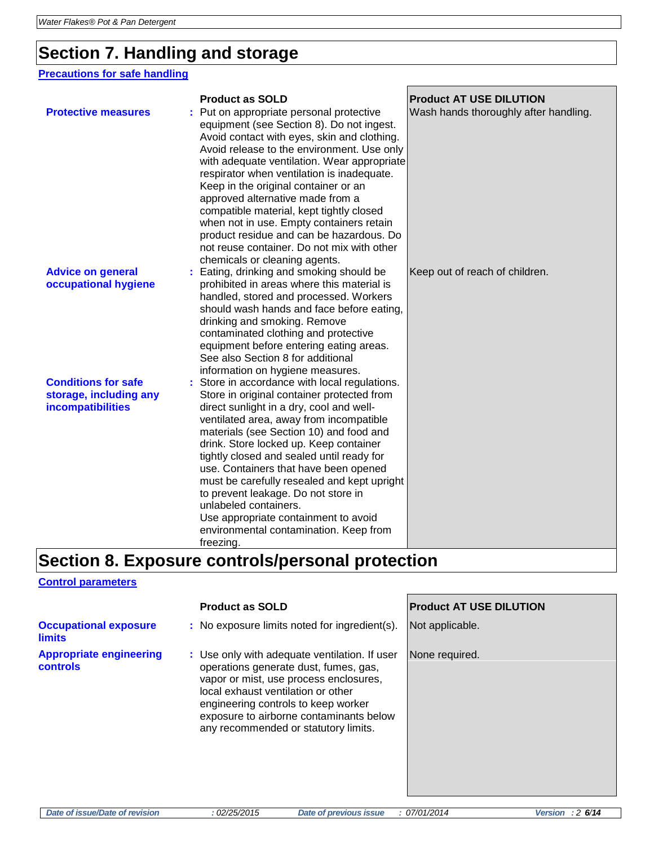### **Section 7. Handling and storage**

### **Precautions for safe handling**

|                                                                                  | <b>Product as SOLD</b>                                                                                                                                                                                                                                                                                                                                                                                                                                                                                                                                                       | <b>Product AT USE DILUTION</b>        |
|----------------------------------------------------------------------------------|------------------------------------------------------------------------------------------------------------------------------------------------------------------------------------------------------------------------------------------------------------------------------------------------------------------------------------------------------------------------------------------------------------------------------------------------------------------------------------------------------------------------------------------------------------------------------|---------------------------------------|
| <b>Protective measures</b>                                                       | Put on appropriate personal protective<br>equipment (see Section 8). Do not ingest.<br>Avoid contact with eyes, skin and clothing.<br>Avoid release to the environment. Use only<br>with adequate ventilation. Wear appropriate<br>respirator when ventilation is inadequate.<br>Keep in the original container or an<br>approved alternative made from a<br>compatible material, kept tightly closed<br>when not in use. Empty containers retain<br>product residue and can be hazardous. Do<br>not reuse container. Do not mix with other<br>chemicals or cleaning agents. | Wash hands thoroughly after handling. |
| <b>Advice on general</b><br>occupational hygiene                                 | Eating, drinking and smoking should be<br>prohibited in areas where this material is<br>handled, stored and processed. Workers<br>should wash hands and face before eating,<br>drinking and smoking. Remove<br>contaminated clothing and protective<br>equipment before entering eating areas.<br>See also Section 8 for additional<br>information on hygiene measures.                                                                                                                                                                                                      | Keep out of reach of children.        |
| <b>Conditions for safe</b><br>storage, including any<br><b>incompatibilities</b> | Store in accordance with local regulations.<br>Store in original container protected from<br>direct sunlight in a dry, cool and well-<br>ventilated area, away from incompatible<br>materials (see Section 10) and food and<br>drink. Store locked up. Keep container<br>tightly closed and sealed until ready for<br>use. Containers that have been opened<br>must be carefully resealed and kept upright<br>to prevent leakage. Do not store in<br>unlabeled containers.<br>Use appropriate containment to avoid<br>environmental contamination. Keep from<br>freezing.    |                                       |

## **Section 8. Exposure controls/personal protection**

#### **Control parameters**

|                                                   | <b>Product as SOLD</b>                                                                                                                                                                                                                                                                           | <b>Product AT USE DILUTION</b> |
|---------------------------------------------------|--------------------------------------------------------------------------------------------------------------------------------------------------------------------------------------------------------------------------------------------------------------------------------------------------|--------------------------------|
| <b>Occupational exposure</b><br><b>limits</b>     | : No exposure limits noted for ingredient(s).                                                                                                                                                                                                                                                    | Not applicable.                |
| <b>Appropriate engineering</b><br><b>controls</b> | : Use only with adequate ventilation. If user<br>operations generate dust, fumes, gas,<br>vapor or mist, use process enclosures,<br>local exhaust ventilation or other<br>engineering controls to keep worker<br>exposure to airborne contaminants below<br>any recommended or statutory limits. | None required.                 |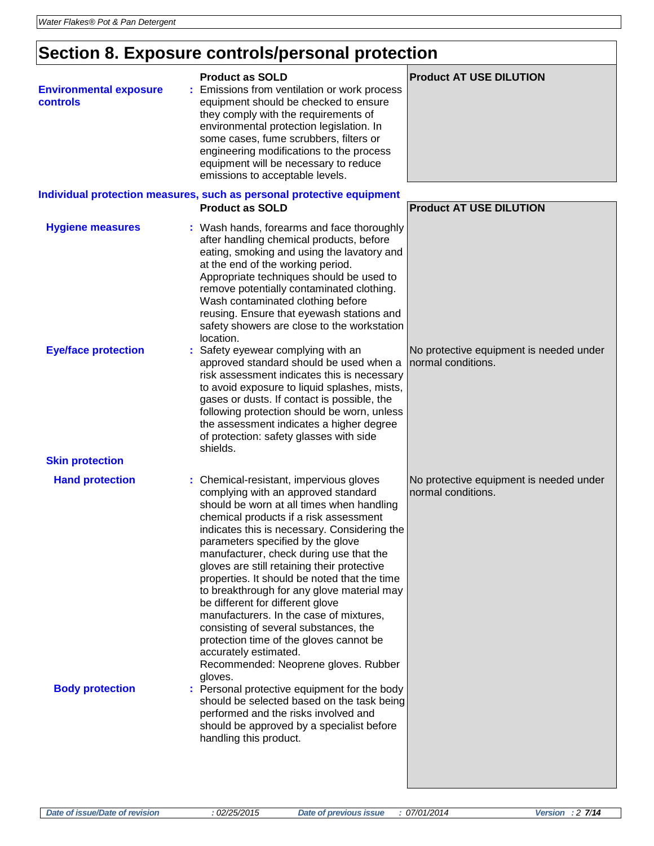# **Section 8. Exposure controls/personal protection**

| <b>Environmental exposure</b><br>controls | <b>Product as SOLD</b><br>Emissions from ventilation or work process<br>equipment should be checked to ensure<br>they comply with the requirements of<br>environmental protection legislation. In<br>some cases, fume scrubbers, filters or<br>engineering modifications to the process<br>equipment will be necessary to reduce<br>emissions to acceptable levels.                                                                                                                                                                                                                                                                                                                               | <b>Product AT USE DILUTION</b>                                |
|-------------------------------------------|---------------------------------------------------------------------------------------------------------------------------------------------------------------------------------------------------------------------------------------------------------------------------------------------------------------------------------------------------------------------------------------------------------------------------------------------------------------------------------------------------------------------------------------------------------------------------------------------------------------------------------------------------------------------------------------------------|---------------------------------------------------------------|
|                                           | Individual protection measures, such as personal protective equipment<br><b>Product as SOLD</b>                                                                                                                                                                                                                                                                                                                                                                                                                                                                                                                                                                                                   | <b>Product AT USE DILUTION</b>                                |
| <b>Hygiene measures</b>                   | : Wash hands, forearms and face thoroughly<br>after handling chemical products, before<br>eating, smoking and using the lavatory and<br>at the end of the working period.<br>Appropriate techniques should be used to<br>remove potentially contaminated clothing.<br>Wash contaminated clothing before<br>reusing. Ensure that eyewash stations and<br>safety showers are close to the workstation<br>location.                                                                                                                                                                                                                                                                                  |                                                               |
| <b>Eye/face protection</b>                | : Safety eyewear complying with an<br>approved standard should be used when a<br>risk assessment indicates this is necessary<br>to avoid exposure to liquid splashes, mists,<br>gases or dusts. If contact is possible, the<br>following protection should be worn, unless<br>the assessment indicates a higher degree<br>of protection: safety glasses with side<br>shields.                                                                                                                                                                                                                                                                                                                     | No protective equipment is needed under<br>normal conditions. |
| <b>Skin protection</b>                    |                                                                                                                                                                                                                                                                                                                                                                                                                                                                                                                                                                                                                                                                                                   |                                                               |
| <b>Hand protection</b>                    | : Chemical-resistant, impervious gloves<br>complying with an approved standard<br>should be worn at all times when handling<br>chemical products if a risk assessment<br>indicates this is necessary. Considering the<br>parameters specified by the glove<br>manufacturer, check during use that the<br>gloves are still retaining their protective<br>properties. It should be noted that the time<br>to breakthrough for any glove material may<br>be different for different glove<br>manufacturers. In the case of mixtures,<br>consisting of several substances, the<br>protection time of the gloves cannot be<br>accurately estimated.<br>Recommended: Neoprene gloves. Rubber<br>gloves. | No protective equipment is needed under<br>normal conditions. |
| <b>Body protection</b>                    | : Personal protective equipment for the body<br>should be selected based on the task being<br>performed and the risks involved and<br>should be approved by a specialist before<br>handling this product.                                                                                                                                                                                                                                                                                                                                                                                                                                                                                         |                                                               |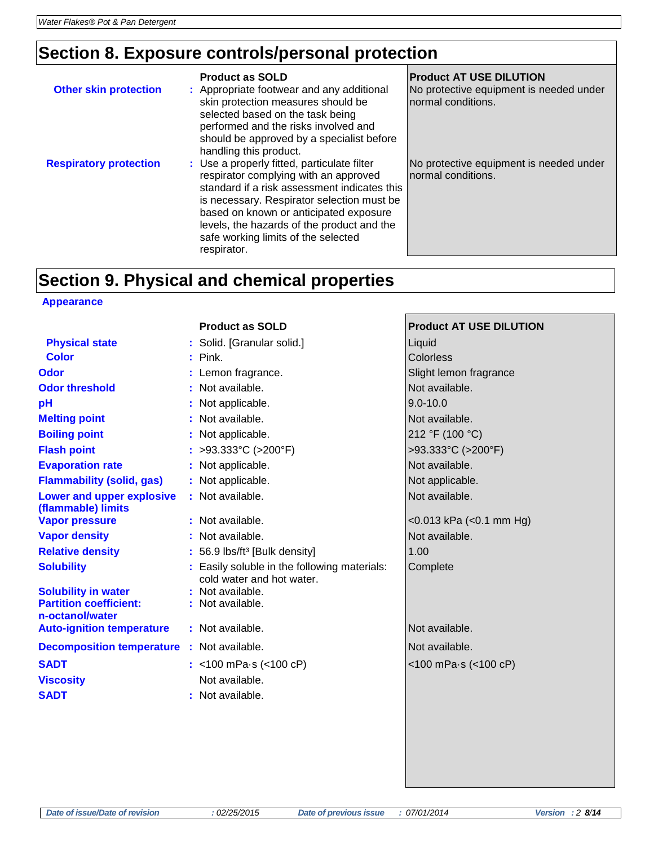### **Section 8. Exposure controls/personal protection**

| <b>Other skin protection</b>  | <b>Product as SOLD</b><br>: Appropriate footwear and any additional<br>skin protection measures should be<br>selected based on the task being<br>performed and the risks involved and<br>should be approved by a specialist before<br>handling this product.                                                                     | <b>Product AT USE DILUTION</b><br>No protective equipment is needed under<br>normal conditions. |
|-------------------------------|----------------------------------------------------------------------------------------------------------------------------------------------------------------------------------------------------------------------------------------------------------------------------------------------------------------------------------|-------------------------------------------------------------------------------------------------|
| <b>Respiratory protection</b> | : Use a properly fitted, particulate filter<br>respirator complying with an approved<br>standard if a risk assessment indicates this<br>is necessary. Respirator selection must be<br>based on known or anticipated exposure<br>levels, the hazards of the product and the<br>safe working limits of the selected<br>respirator. | No protective equipment is needed under<br>normal conditions.                                   |

### **Section 9. Physical and chemical properties**

#### **Appearance**

| <b>Product as SOLD</b>    | <b>Product AT USE DILUTION</b>                                                                                                                                                                                                                                                                                                                                                                                                                                                                                                                    |
|---------------------------|---------------------------------------------------------------------------------------------------------------------------------------------------------------------------------------------------------------------------------------------------------------------------------------------------------------------------------------------------------------------------------------------------------------------------------------------------------------------------------------------------------------------------------------------------|
|                           | Liquid                                                                                                                                                                                                                                                                                                                                                                                                                                                                                                                                            |
|                           | Colorless                                                                                                                                                                                                                                                                                                                                                                                                                                                                                                                                         |
|                           | Slight lemon fragrance                                                                                                                                                                                                                                                                                                                                                                                                                                                                                                                            |
|                           | Not available.                                                                                                                                                                                                                                                                                                                                                                                                                                                                                                                                    |
|                           | $9.0 - 10.0$                                                                                                                                                                                                                                                                                                                                                                                                                                                                                                                                      |
|                           | Not available.                                                                                                                                                                                                                                                                                                                                                                                                                                                                                                                                    |
|                           | 212 °F (100 °C)                                                                                                                                                                                                                                                                                                                                                                                                                                                                                                                                   |
|                           | >93.333°C (>200°F)                                                                                                                                                                                                                                                                                                                                                                                                                                                                                                                                |
|                           | Not available.                                                                                                                                                                                                                                                                                                                                                                                                                                                                                                                                    |
|                           | Not applicable.                                                                                                                                                                                                                                                                                                                                                                                                                                                                                                                                   |
|                           | Not available.                                                                                                                                                                                                                                                                                                                                                                                                                                                                                                                                    |
|                           | $<$ 0.013 kPa ( $<$ 0.1 mm Hg)                                                                                                                                                                                                                                                                                                                                                                                                                                                                                                                    |
|                           | Not available.                                                                                                                                                                                                                                                                                                                                                                                                                                                                                                                                    |
|                           | 1.00                                                                                                                                                                                                                                                                                                                                                                                                                                                                                                                                              |
| cold water and hot water. | Complete                                                                                                                                                                                                                                                                                                                                                                                                                                                                                                                                          |
|                           |                                                                                                                                                                                                                                                                                                                                                                                                                                                                                                                                                   |
|                           |                                                                                                                                                                                                                                                                                                                                                                                                                                                                                                                                                   |
|                           | Not available.                                                                                                                                                                                                                                                                                                                                                                                                                                                                                                                                    |
|                           | Not available.                                                                                                                                                                                                                                                                                                                                                                                                                                                                                                                                    |
|                           | <100 mPa-s (<100 cP)                                                                                                                                                                                                                                                                                                                                                                                                                                                                                                                              |
| Not available.            |                                                                                                                                                                                                                                                                                                                                                                                                                                                                                                                                                   |
|                           |                                                                                                                                                                                                                                                                                                                                                                                                                                                                                                                                                   |
|                           | : Solid. [Granular solid.]<br>$:$ Pink.<br>: Lemon fragrance.<br>: Not available.<br>: Not applicable.<br>: Not available.<br>: Not applicable.<br>: >93.333°C (>200°F)<br>: Not applicable.<br>: Not applicable.<br>: Not available.<br>: Not available.<br>: Not available.<br>: 56.9 lbs/ft <sup>3</sup> [Bulk density]<br>: Easily soluble in the following materials:<br>: Not available.<br>: Not available.<br>: Not available.<br><b>Decomposition temperature : Not available.</b><br>: <100 mPa $\cdot$ s (<100 cP)<br>: Not available. |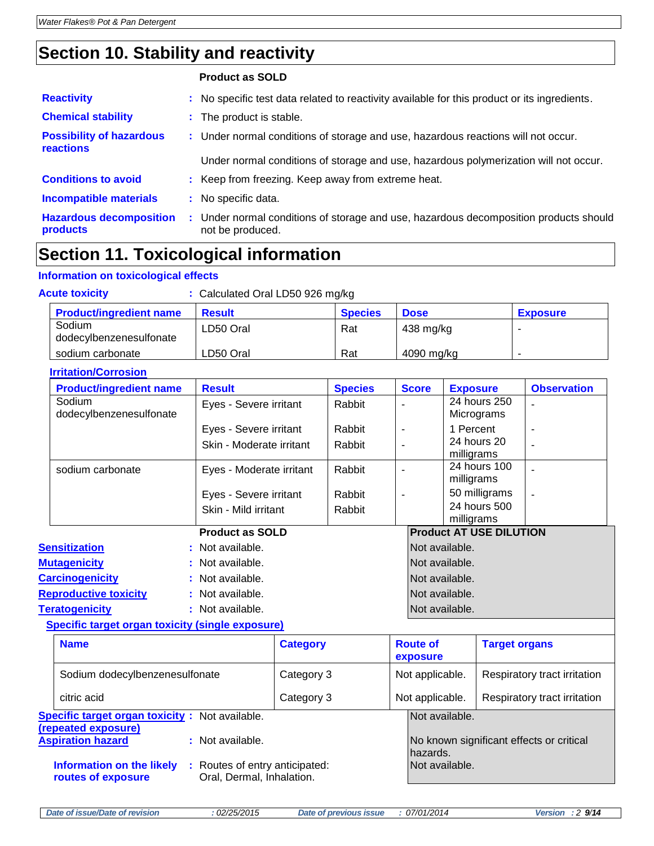### **Section 10. Stability and reactivity**

| <b>Reactivity</b>                            |    | : No specific test data related to reactivity available for this product or its ingredients.            |
|----------------------------------------------|----|---------------------------------------------------------------------------------------------------------|
| <b>Chemical stability</b>                    |    | : The product is stable.                                                                                |
| <b>Possibility of hazardous</b><br>reactions |    | : Under normal conditions of storage and use, hazardous reactions will not occur.                       |
|                                              |    | Under normal conditions of storage and use, hazardous polymerization will not occur.                    |
| <b>Conditions to avoid</b>                   |    | : Keep from freezing. Keep away from extreme heat.                                                      |
| <b>Incompatible materials</b>                |    | : No specific data.                                                                                     |
| <b>Hazardous decomposition</b><br>products   | ÷. | Under normal conditions of storage and use, hazardous decomposition products should<br>not be produced. |

## **Section 11. Toxicological information**

### **Information on toxicological effects**

| <b>Acute toxicity</b>             | : Calculated Oral LD50 926 mg/kg |                |             |                 |
|-----------------------------------|----------------------------------|----------------|-------------|-----------------|
| <b>Product/ingredient name</b>    | <b>Result</b>                    | <b>Species</b> | <b>Dose</b> | <b>Exposure</b> |
| Sodium<br>dodecylbenzenesulfonate | LD50 Oral                        | Rat            | 438 mg/kg   |                 |
| sodium carbonate                  | LD50 Oral                        | Rat            | 4090 mg/kg  |                 |

#### **Irritation/Corrosion**

| <b>Product/ingredient name</b>    | <b>Result</b>            | <b>Species</b> | <b>Score</b>   | <b>Exposure</b>                | <b>Observation</b>       |
|-----------------------------------|--------------------------|----------------|----------------|--------------------------------|--------------------------|
| Sodium<br>dodecylbenzenesulfonate | Eyes - Severe irritant   | Rabbit         |                | 24 hours 250<br>Micrograms     |                          |
|                                   | Eyes - Severe irritant   | Rabbit         |                | 1 Percent                      | $\overline{\phantom{0}}$ |
|                                   | Skin - Moderate irritant | Rabbit         |                | 24 hours 20<br>milligrams      |                          |
| sodium carbonate                  | Eyes - Moderate irritant | Rabbit         |                | 24 hours 100<br>milligrams     |                          |
|                                   | Eyes - Severe irritant   | Rabbit         |                | 50 milligrams                  |                          |
|                                   | Skin - Mild irritant     | Rabbit         |                | 24 hours 500<br>milligrams     |                          |
|                                   | <b>Product as SOLD</b>   |                |                | <b>Product AT USE DILUTION</b> |                          |
| <b>Sensitization</b>              | : Not available.         |                | Not available. |                                |                          |
| <b>Mutagenicity</b>               | : Not available.         |                | Not available. |                                |                          |
| <b>Carcinogenicity</b>            | : Not available.         |                | Not available. |                                |                          |
| <b>Reproductive toxicity</b>      | : Not available.         |                | Not available. |                                |                          |

#### **Teratogenicity :** Not available. Not available. **Specific target organ toxicity (single exposure)**

| opcomo targot organizoxiony tomgio exposare,                                                                          |                 |                             |                                          |  |  |
|-----------------------------------------------------------------------------------------------------------------------|-----------------|-----------------------------|------------------------------------------|--|--|
| <b>Name</b>                                                                                                           | <b>Category</b> | <b>Route of</b><br>exposure | <b>Target organs</b>                     |  |  |
| Sodium dodecylbenzenesulfonate                                                                                        | Category 3      | Not applicable.             | Respiratory tract irritation             |  |  |
| citric acid                                                                                                           | Category 3      | Not applicable.             | Respiratory tract irritation             |  |  |
| <b>Specific target organ toxicity:</b> Not available.<br>(repeated exposure)                                          |                 | Not available.              |                                          |  |  |
| <b>Aspiration hazard</b><br>: Not available.                                                                          |                 | hazards.                    | No known significant effects or critical |  |  |
| <b>Information on the likely</b><br>: Routes of entry anticipated:<br>Oral, Dermal, Inhalation.<br>routes of exposure |                 | Not available.              |                                          |  |  |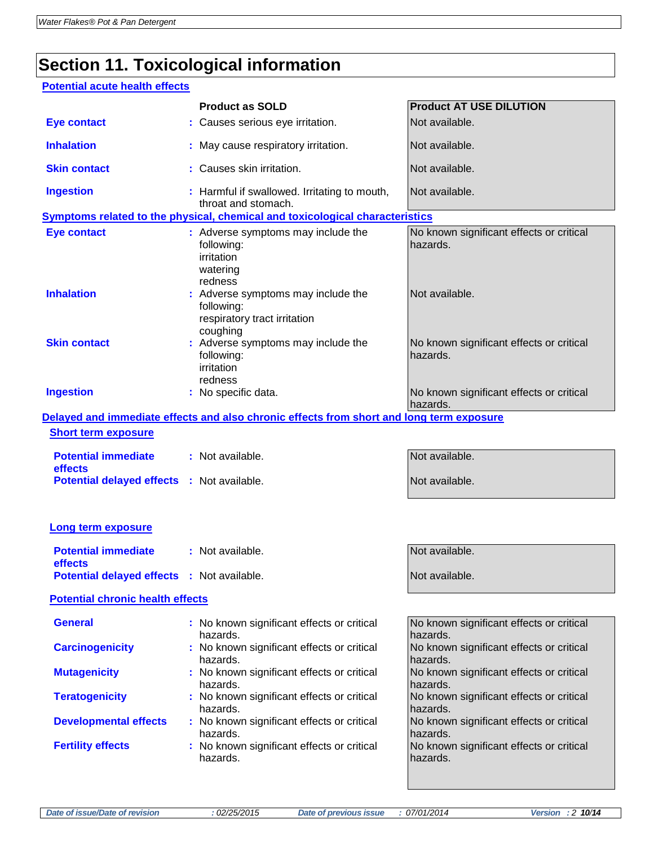# **Section 11. Toxicological information**

### **Potential acute health effects**

|                                                   | <b>Product as SOLD</b>                                                                       | <b>Product AT USE DILUTION</b>                       |
|---------------------------------------------------|----------------------------------------------------------------------------------------------|------------------------------------------------------|
| <b>Eye contact</b>                                | : Causes serious eye irritation.                                                             | Not available.                                       |
| <b>Inhalation</b>                                 | : May cause respiratory irritation.                                                          | Not available.                                       |
| <b>Skin contact</b>                               | : Causes skin irritation.                                                                    | Not available.                                       |
| <b>Ingestion</b>                                  | : Harmful if swallowed. Irritating to mouth,<br>throat and stomach.                          | Not available.                                       |
|                                                   | Symptoms related to the physical, chemical and toxicological characteristics                 |                                                      |
| <b>Eye contact</b>                                | : Adverse symptoms may include the<br>following:<br>irritation<br>watering<br>redness        | No known significant effects or critical<br>hazards. |
| <b>Inhalation</b>                                 | : Adverse symptoms may include the<br>following:<br>respiratory tract irritation<br>coughing | Not available.                                       |
| <b>Skin contact</b>                               | : Adverse symptoms may include the<br>following:<br>irritation<br>redness                    | No known significant effects or critical<br>hazards. |
| <b>Ingestion</b>                                  | : No specific data.                                                                          | No known significant effects or critical<br>hazards. |
|                                                   | Delayed and immediate effects and also chronic effects from short and long term exposure     |                                                      |
| <b>Short term exposure</b>                        |                                                                                              |                                                      |
| <b>Potential immediate</b><br>effects             | : Not available.                                                                             | Not available.                                       |
| <b>Potential delayed effects : Not available.</b> |                                                                                              | Not available.                                       |
| <b>Long term exposure</b>                         |                                                                                              |                                                      |
|                                                   |                                                                                              |                                                      |
| <b>Potential immediate</b><br>effects             | : Not available.                                                                             | Not available.                                       |
| Potential delayed effects : Not available.        |                                                                                              | Not available.                                       |
| <b>Potential chronic health effects</b>           |                                                                                              |                                                      |
| <b>General</b>                                    | : No known significant effects or critical<br>hazards.                                       | No known significant effects or critical<br>hazards. |
| <b>Carcinogenicity</b>                            | : No known significant effects or critical<br>hazards.                                       | No known significant effects or critical<br>hazards. |
| <b>Mutagenicity</b>                               | : No known significant effects or critical<br>hazards.                                       | No known significant effects or critical<br>hazards. |
| <b>Teratogenicity</b>                             | : No known significant effects or critical<br>hazards.                                       | No known significant effects or critical<br>hazards. |
| <b>Developmental effects</b>                      | : No known significant effects or critical<br>hazards.                                       | No known significant effects or critical<br>hazards. |
| <b>Fertility effects</b>                          | : No known significant effects or critical<br>hazards.                                       | No known significant effects or critical<br>hazards. |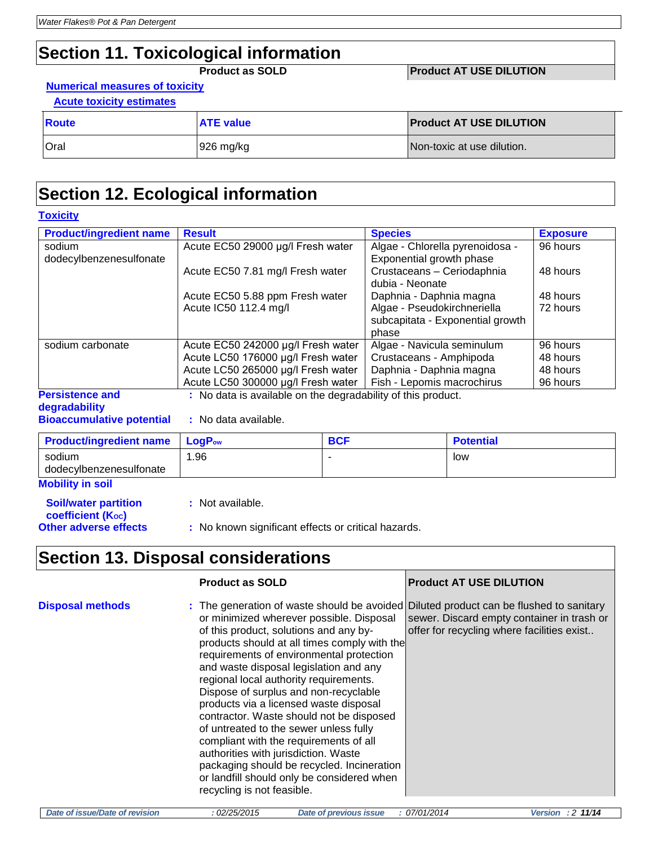### **Section 11. Toxicological information**

**Product as SOLD Product AT USE DILUTION** 

#### **Numerical measures of toxicity Acute toxicity estimates**

| Route       | <b>ATE value</b> | <b>Product AT USE DILUTION</b> |
|-------------|------------------|--------------------------------|
| <b>Oral</b> | 926 mg/kg        | Non-toxic at use dilution.     |

### **Section 12. Ecological information**

#### **Toxicity**

| <b>Product/ingredient name</b> | <b>Result</b>                                                | <b>Species</b>                   | <b>Exposure</b> |
|--------------------------------|--------------------------------------------------------------|----------------------------------|-----------------|
| sodium                         | Acute EC50 29000 µg/l Fresh water                            | Algae - Chlorella pyrenoidosa -  | 96 hours        |
| dodecylbenzenesulfonate        |                                                              | Exponential growth phase         |                 |
|                                | Acute EC50 7.81 mg/l Fresh water                             | Crustaceans - Ceriodaphnia       | 48 hours        |
|                                |                                                              | dubia - Neonate                  |                 |
|                                | Acute EC50 5.88 ppm Fresh water                              | Daphnia - Daphnia magna          | 48 hours        |
|                                | Acute IC50 112.4 mg/l                                        | Algae - Pseudokirchneriella      | 72 hours        |
|                                |                                                              | subcapitata - Exponential growth |                 |
|                                |                                                              | phase                            |                 |
| sodium carbonate               | Acute EC50 242000 µg/l Fresh water                           | Algae - Navicula seminulum       | 96 hours        |
|                                | Acute LC50 176000 µg/l Fresh water                           | Crustaceans - Amphipoda          | 48 hours        |
|                                | Acute LC50 265000 µg/l Fresh water                           | Daphnia - Daphnia magna          | 48 hours        |
|                                | Acute LC50 300000 µg/l Fresh water                           | Fish - Lepomis macrochirus       | 96 hours        |
| <b>Persistence and</b>         | : No data is available on the degradability of this product. |                                  |                 |
| degradability                  |                                                              |                                  |                 |

**Bioaccumulative potential :** No data available.

| <b>Product/ingredient name</b>    | <b>LogP</b> ow | <b>BCF</b> | <b>Potential</b> |
|-----------------------------------|----------------|------------|------------------|
| sodium<br>dodecylbenzenesulfonate | .96            |            | low              |
|                                   |                |            |                  |

**Mobility in soil**

**Soil/water partition coefficient (Koc)** 

- **:** Not available.
- **Other adverse effects** : No known significant effects or critical hazards.

### **Section 13. Disposal considerations**

|                         | <b>Product as SOLD</b>                                                                                                                                                                                                                                                                                                                                                                                                                                                                                                                                                                                                                                                                                                                            | <b>Product AT USE DILUTION</b>                                                           |
|-------------------------|---------------------------------------------------------------------------------------------------------------------------------------------------------------------------------------------------------------------------------------------------------------------------------------------------------------------------------------------------------------------------------------------------------------------------------------------------------------------------------------------------------------------------------------------------------------------------------------------------------------------------------------------------------------------------------------------------------------------------------------------------|------------------------------------------------------------------------------------------|
| <b>Disposal methods</b> | : The generation of waste should be avoided Diluted product can be flushed to sanitary<br>or minimized wherever possible. Disposal<br>of this product, solutions and any by-<br>products should at all times comply with the<br>requirements of environmental protection<br>and waste disposal legislation and any<br>regional local authority requirements.<br>Dispose of surplus and non-recyclable<br>products via a licensed waste disposal<br>contractor. Waste should not be disposed<br>of untreated to the sewer unless fully<br>compliant with the requirements of all<br>authorities with jurisdiction. Waste<br>packaging should be recycled. Incineration<br>or landfill should only be considered when<br>recycling is not feasible. | sewer. Discard empty container in trash or<br>offer for recycling where facilities exist |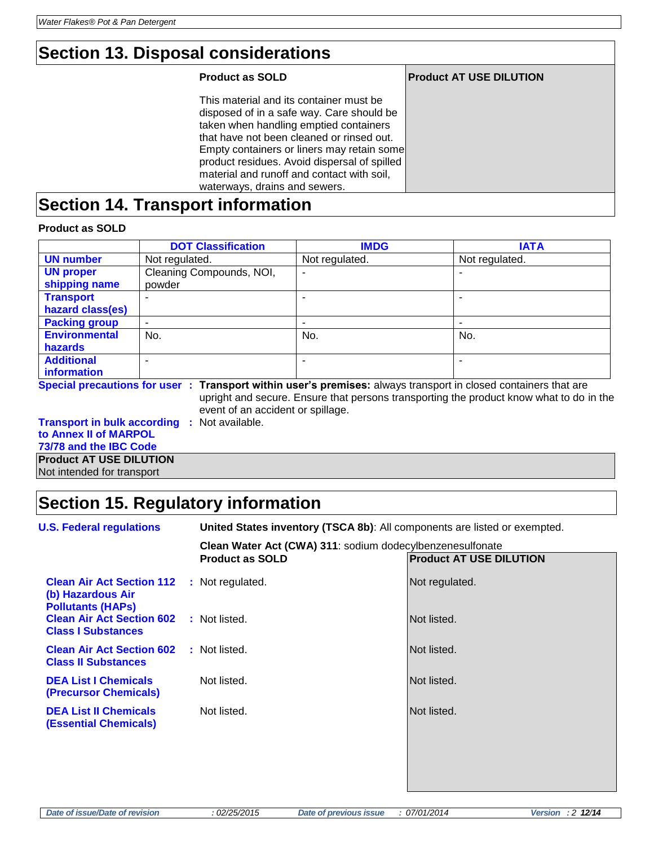### **Section 13. Disposal considerations**

### **Product as SOLD Product AT USE DILUTION** This material and its container must be disposed of in a safe way. Care should be taken when handling emptied containers that have not been cleaned or rinsed out. Empty containers or liners may retain some product residues. Avoid dispersal of spilled material and runoff and contact with soil, waterways, drains and sewers.

### **Section 14. Transport information**

### **Product as SOLD**

|                                    | <b>DOT Classification</b>         | <b>IMDG</b>              | <b>IATA</b>                                                                                                    |
|------------------------------------|-----------------------------------|--------------------------|----------------------------------------------------------------------------------------------------------------|
| <b>UN number</b>                   | Not regulated.                    | Not regulated.           | Not regulated.                                                                                                 |
| <b>UN proper</b>                   | Cleaning Compounds, NOI,          | $\blacksquare$           |                                                                                                                |
| shipping name                      | powder                            |                          |                                                                                                                |
| <b>Transport</b>                   | ۰                                 |                          |                                                                                                                |
| hazard class(es)                   |                                   |                          |                                                                                                                |
| <b>Packing group</b>               | ۰                                 | $\overline{\phantom{0}}$ |                                                                                                                |
| <b>Environmental</b>               | No.                               | No.                      | No.                                                                                                            |
| <b>hazards</b>                     |                                   |                          |                                                                                                                |
| <b>Additional</b>                  |                                   |                          |                                                                                                                |
| information                        |                                   |                          |                                                                                                                |
|                                    |                                   |                          | Special precautions for user: Transport within user's premises: always transport in closed containers that are |
|                                    |                                   |                          | upright and secure. Ensure that persons transporting the product know what to do in the                        |
|                                    | event of an accident or spillage. |                          |                                                                                                                |
| <b>Transport in bulk according</b> | : Not available.                  |                          |                                                                                                                |
| to Annex II of MARPOL              |                                   |                          |                                                                                                                |
| 73/78 and the IBC Code             |                                   |                          |                                                                                                                |
| <b>Draduat AT LICE DILLITION</b>   |                                   |                          |                                                                                                                |

**Product AT USE DILUTION** Not intended for transport

### **Section 15. Regulatory information**

| <b>U.S. Federal regulations</b>                                                   | United States inventory (TSCA 8b): All components are listed or exempted. |                                |  |  |
|-----------------------------------------------------------------------------------|---------------------------------------------------------------------------|--------------------------------|--|--|
|                                                                                   | Clean Water Act (CWA) 311: sodium dodecylbenzenesulfonate                 |                                |  |  |
|                                                                                   | <b>Product as SOLD</b>                                                    | <b>Product AT USE DILUTION</b> |  |  |
| <b>Clean Air Act Section 112</b><br>(b) Hazardous Air<br><b>Pollutants (HAPS)</b> | : Not regulated.                                                          | Not regulated.                 |  |  |
| <b>Clean Air Act Section 602</b><br><b>Class I Substances</b>                     | : Not listed.                                                             | Not listed.                    |  |  |
| <b>Clean Air Act Section 602</b><br><b>Class II Substances</b>                    | : Not listed.                                                             | Not listed.                    |  |  |
| <b>DEA List I Chemicals</b><br>(Precursor Chemicals)                              | Not listed.                                                               | Not listed.                    |  |  |
| <b>DEA List II Chemicals</b><br><b>(Essential Chemicals)</b>                      | Not listed.                                                               | Not listed.                    |  |  |
|                                                                                   |                                                                           |                                |  |  |
|                                                                                   |                                                                           |                                |  |  |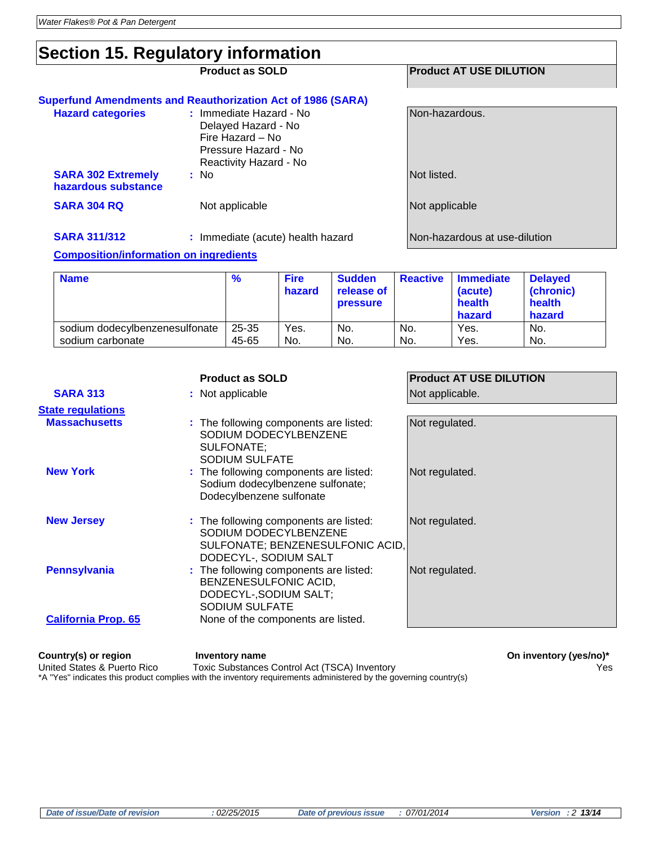### **Section 15. Regulatory information**

| ັ                                                |                                                                                                                      |                                |
|--------------------------------------------------|----------------------------------------------------------------------------------------------------------------------|--------------------------------|
|                                                  | <b>Product as SOLD</b>                                                                                               | <b>Product AT USE DILUTION</b> |
|                                                  | <b>Superfund Amendments and Reauthorization Act of 1986 (SARA)</b>                                                   |                                |
| <b>Hazard categories</b>                         | : Immediate Hazard - No<br>Delayed Hazard - No<br>Fire Hazard – No<br>Pressure Hazard - No<br>Reactivity Hazard - No | Non-hazardous.                 |
| <b>SARA 302 Extremely</b><br>hazardous substance | : No                                                                                                                 | Not listed.                    |
| <b>SARA 304 RQ</b>                               | Not applicable                                                                                                       | Not applicable                 |
| <b>SARA 311/312</b>                              | : Immediate (acute) health hazard                                                                                    | lNon-hazardous at use-dilution |

#### **Composition/information on ingredients**

| <b>Name</b>                    | $\frac{9}{6}$ | <b>Fire</b><br>hazard | <b>Sudden</b><br>release of<br><b>pressure</b> | <b>Reactive</b> | <b>Immediate</b><br>(acute)<br>health<br>hazard | <b>Delayed</b><br>(chronic)<br>health<br>hazard |
|--------------------------------|---------------|-----------------------|------------------------------------------------|-----------------|-------------------------------------------------|-------------------------------------------------|
| sodium dodecylbenzenesulfonate | $25 - 35$     | Yes.                  | No.                                            | No.             | Yes.                                            | No.                                             |
| sodium carbonate               | 45-65         | No.                   | No.                                            | No.             | Yes.                                            | No.                                             |

|                            | <b>Product as SOLD</b>                                                                                                       | <b>Product AT USE DILUTION</b> |
|----------------------------|------------------------------------------------------------------------------------------------------------------------------|--------------------------------|
| <b>SARA 313</b>            | : Not applicable                                                                                                             | Not applicable.                |
| <b>State regulations</b>   |                                                                                                                              |                                |
| <b>Massachusetts</b>       | : The following components are listed:<br>SODIUM DODECYLBENZENE<br>SULFONATE:<br><b>SODIUM SULFATE</b>                       | Not regulated.                 |
| <b>New York</b>            | : The following components are listed:<br>Sodium dodecylbenzene sulfonate;<br>Dodecylbenzene sulfonate                       | Not regulated.                 |
| <b>New Jersey</b>          | : The following components are listed:<br>SODIUM DODECYLBENZENE<br>SULFONATE; BENZENESULFONIC ACID,<br>DODECYL-, SODIUM SALT | Not regulated.                 |
| <b>Pennsylvania</b>        | : The following components are listed:<br>BENZENESULFONIC ACID,<br>DODECYL-, SODIUM SALT;<br>SODIUM SULFATE                  | Not regulated.                 |
| <b>California Prop. 65</b> | None of the components are listed.                                                                                           |                                |

**Country(s) or region and inventory name**<br>United States & Puerto Rico Toxic Substances Control Act (TSCA) Inventory **Concept Conduct Act (TSCA)** Inventory Toxic Substances Control Act (TSCA) Inventory **Wester Control Act (TSCA)** Inventory **Wester** Wester Control Act (TSCA) Inventory **Wester** Control Act (TSCA) Inventory **Wester** Control Act (TSCA) Inventory **Wester Control A** \*A "Yes" indicates this product complies with the inventory requirements administered by the governing country(s)